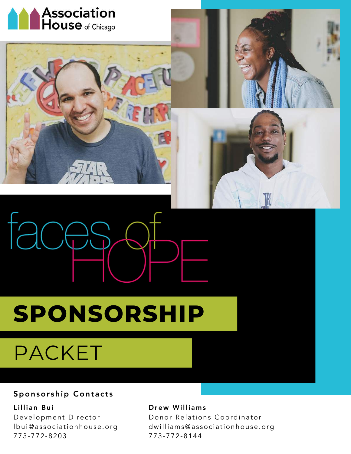





## **SPONSORSHIP**

## PACKET

### Sponsorship Contacts

Lillian Bui Development Director lbui@associationhouse.org 773-772-8203

#### Drew Williams

Donor Relations Coordinator dwilliams@associationhouse.org 773-772-8144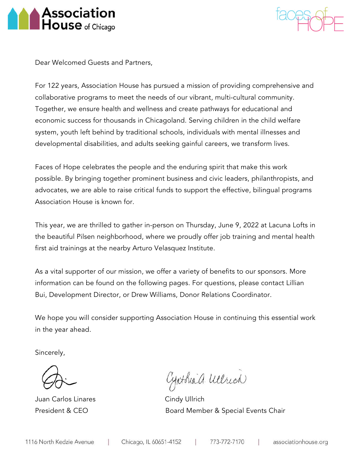



Dear Welcomed Guests and Partners,

For 122 years, Association House has pursued a mission of providing comprehensive and collaborative programs to meet the needs of our vibrant, multi-cultural community. Together, we ensure health and wellness and create pathways for educational and economic success for thousands in Chicagoland. Serving children in the child welfare system, youth left behind by traditional schools, individuals with mental illnesses and developmental disabilities, and adults seeking gainful careers, we transform lives.

Faces of Hope celebrates the people and the enduring spirit that make this work possible. By bringing together prominent business and civic leaders, philanthropists, and advocates, we are able to raise critical funds to support the effective, bilingual programs Association House is known for.

This year, we are thrilled to gather in-person on Thursday, June 9, 2022 at Lacuna Lofts in the beautiful Pilsen neighborhood, where we proudly offer job training and mental health first aid trainings at the nearby Arturo Velasquez Institute.

As a vital supporter of our mission, we offer a variety of benefits to our sponsors. More information can be found on the following pages. For questions, please contact Lillian Bui, Development Director, or Drew Williams, Donor Relations Coordinator.

We hope you will consider supporting Association House in continuing this essential work in the year ahead.

Sincerely,

Juan Carlos Linares Cindy Ullrich

Cynthia a. Welrich

President & CEO **Board Member & Special Events Chair**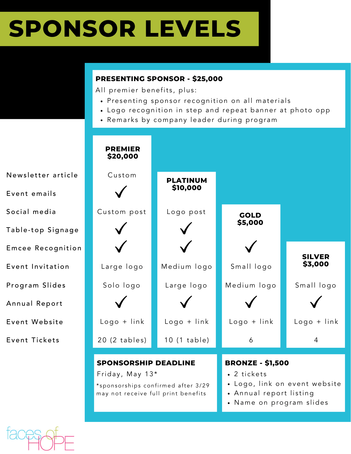## **SPONSOR LEVELS**

### **PRESENTING SPONSOR - \$25,000**

All premier benefits, plus:

- · Presenting sponsor recognition on all materials
- Logo recognition in step and repeat banner at photo opp
- Remarks by company leader during program



Newsletter article

Event emails

Social media

Table-top Signage

Emcee Recognition

Event Invitation

Program Slides

Annual Report

Event Webs ite

Event Tickets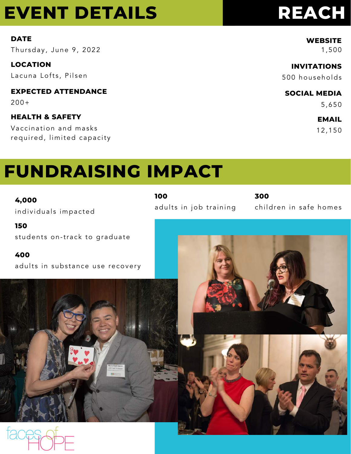### **EVENT DETAILS**

#### **DATE**

Thursday, June 9, 2022

**LOCATION** 

Lacuna Lofts, Pilsen

**EXPECTED ATTENDANCE** 

 $200+$ 

### **HEALTH & SAFETY**

Vaccination and masks required, limited capacity

### **REACH**

**WEBSITE** 

1,500

### **INVITATIONS**

500 households

**SOCIAL MEDIA** 

5,650

### **EMAIL**

12,150

### **FUNDRAISING IMPACT**

4,000 individuals impacted

150 students on-track to graduate

400

100 adults in job training 300 children in safe homes

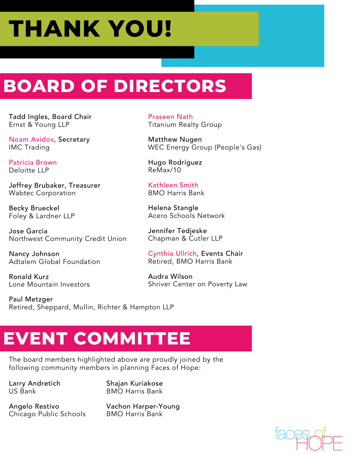# **THANK YOU!**

### **BOARD OF DIRECTORS**

Tadd Ingles, Board Chair Ernst & Young LLP

Noam Avidov, Secretary IMC Trading

Patricia Brown Deloitte LLP

Jeffrey Brubaker, Treasurer Wabtec Corporation

Becky Brueckel Foley & Lardner LLP

Jose Garcia Northwest Community Credit Union

Nancy Johnson Adtalem Global Foundation

Ronald Kurz Lone Mountain Investors

Paul Metzger Retired, Sheppard, Mullin, Richter & Hampton LLP

Praseen Nath Titanium Realty Group

Matthew Nugen WEC Energy Group (People's Gas)

Hugo Rodriguez ReMax/10

Kathleen Smith BMO Harris Bank

Helena Stangle Acero Schools Network

Jennifer Tedjeske Chapman & Cutler LLP

Cynthia Ullrich, Events Chair Retired, BMO Harris Bank

Audra Wilson Shriver Center on Poverty Law

### **EVENT COMMITTEE**

The board members highlighted above are proudly joined by the following community members in planning Faces of Hope:

Larry Andretich US Bank

Shajan Kuriakose BMO Harris Bank

Angelo Restivo Chicago Public Schools Vachon Harper-Young BMO Harris Bank